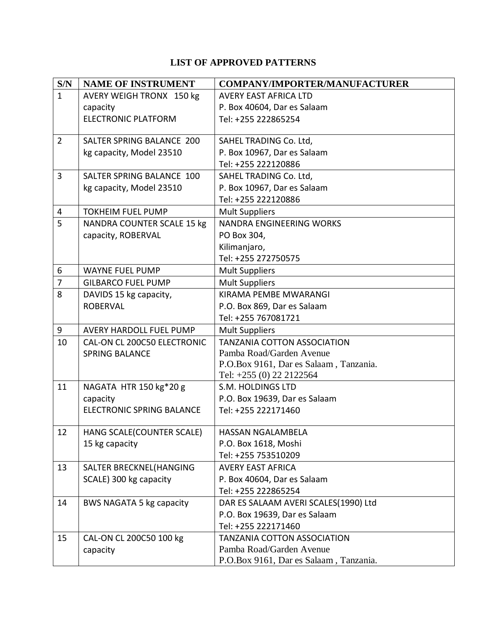## **LIST OF APPROVED PATTERNS**

| S/N            | <b>NAME OF INSTRUMENT</b>         | <b>COMPANY/IMPORTER/MANUFACTURER</b>   |
|----------------|-----------------------------------|----------------------------------------|
| $\mathbf{1}$   | AVERY WEIGH TRONX 150 kg          | <b>AVERY EAST AFRICA LTD</b>           |
|                | capacity                          | P. Box 40604, Dar es Salaam            |
|                | <b>ELECTRONIC PLATFORM</b>        | Tel: +255 222865254                    |
|                |                                   |                                        |
| $\overline{2}$ | SALTER SPRING BALANCE 200         | SAHEL TRADING Co. Ltd,                 |
|                | kg capacity, Model 23510          | P. Box 10967, Dar es Salaam            |
|                |                                   | Tel: +255 222120886                    |
| 3              | SALTER SPRING BALANCE 100         | SAHEL TRADING Co. Ltd,                 |
|                | kg capacity, Model 23510          | P. Box 10967, Dar es Salaam            |
|                |                                   | Tel: +255 222120886                    |
| 4              | <b>TOKHEIM FUEL PUMP</b>          | <b>Mult Suppliers</b>                  |
| 5              | <b>NANDRA COUNTER SCALE 15 kg</b> | NANDRA ENGINEERING WORKS               |
|                | capacity, ROBERVAL                | PO Box 304,                            |
|                |                                   | Kilimanjaro,                           |
|                |                                   | Tel: +255 272750575                    |
| 6              | <b>WAYNE FUEL PUMP</b>            | <b>Mult Suppliers</b>                  |
| $\overline{7}$ | <b>GILBARCO FUEL PUMP</b>         | <b>Mult Suppliers</b>                  |
| 8              | DAVIDS 15 kg capacity,            | KIRAMA PEMBE MWARANGI                  |
|                | <b>ROBERVAL</b>                   | P.O. Box 869, Dar es Salaam            |
|                |                                   | Tel: +255 767081721                    |
| 9              | AVERY HARDOLL FUEL PUMP           | <b>Mult Suppliers</b>                  |
| 10             | CAL-ON CL 200C50 ELECTRONIC       | <b>TANZANIA COTTON ASSOCIATION</b>     |
|                | <b>SPRING BALANCE</b>             | Pamba Road/Garden Avenue               |
|                |                                   | P.O.Box 9161, Dar es Salaam, Tanzania. |
|                |                                   | Tel: +255 (0) 22 2122564               |
| 11             | NAGATA HTR 150 kg*20 g            | S.M. HOLDINGS LTD                      |
|                | capacity                          | P.O. Box 19639, Dar es Salaam          |
|                | ELECTRONIC SPRING BALANCE         | Tel: +255 222171460                    |
| 12             | HANG SCALE(COUNTER SCALE)         | HASSAN NGALAMBELA                      |
|                | 15 kg capacity                    | P.O. Box 1618, Moshi                   |
|                |                                   | Tel: +255 753510209                    |
| 13             | SALTER BRECKNEL(HANGING           | <b>AVERY EAST AFRICA</b>               |
|                | SCALE) 300 kg capacity            | P. Box 40604, Dar es Salaam            |
|                |                                   | Tel: +255 222865254                    |
| 14             | BWS NAGATA 5 kg capacity          | DAR ES SALAAM AVERI SCALES(1990) Ltd   |
|                |                                   | P.O. Box 19639, Dar es Salaam          |
|                |                                   | Tel: +255 222171460                    |
| 15             | CAL-ON CL 200C50 100 kg           | <b>TANZANIA COTTON ASSOCIATION</b>     |
|                | capacity                          | Pamba Road/Garden Avenue               |
|                |                                   | P.O.Box 9161, Dar es Salaam, Tanzania. |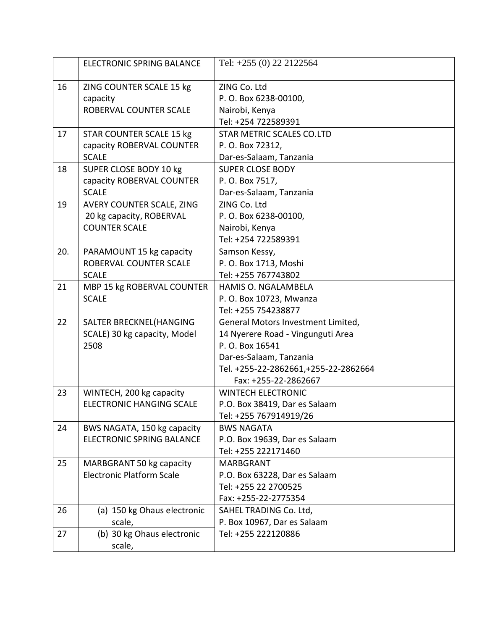|     | <b>ELECTRONIC SPRING BALANCE</b> | Tel: +255 (0) 22 2122564             |
|-----|----------------------------------|--------------------------------------|
| 16  | ZING COUNTER SCALE 15 kg         | ZING Co. Ltd                         |
|     | capacity                         | P.O. Box 6238-00100,                 |
|     | ROBERVAL COUNTER SCALE           | Nairobi, Kenya                       |
|     |                                  | Tel: +254 722589391                  |
| 17  | <b>STAR COUNTER SCALE 15 kg</b>  | <b>STAR METRIC SCALES CO.LTD</b>     |
|     | capacity ROBERVAL COUNTER        | P. O. Box 72312,                     |
|     | <b>SCALE</b>                     | Dar-es-Salaam, Tanzania              |
| 18  | SUPER CLOSE BODY 10 kg           | <b>SUPER CLOSE BODY</b>              |
|     | capacity ROBERVAL COUNTER        | P. O. Box 7517,                      |
|     | <b>SCALE</b>                     | Dar-es-Salaam, Tanzania              |
| 19  | AVERY COUNTER SCALE, ZING        | ZING Co. Ltd                         |
|     | 20 kg capacity, ROBERVAL         | P. O. Box 6238-00100,                |
|     | <b>COUNTER SCALE</b>             | Nairobi, Kenya                       |
|     |                                  | Tel: +254 722589391                  |
| 20. | PARAMOUNT 15 kg capacity         | Samson Kessy,                        |
|     | ROBERVAL COUNTER SCALE           | P. O. Box 1713, Moshi                |
|     | <b>SCALE</b>                     | Tel: +255 767743802                  |
| 21  | MBP 15 kg ROBERVAL COUNTER       | HAMIS O. NGALAMBELA                  |
|     | <b>SCALE</b>                     | P. O. Box 10723, Mwanza              |
|     |                                  | Tel: +255 754238877                  |
| 22  | SALTER BRECKNEL(HANGING          | General Motors Investment Limited,   |
|     | SCALE) 30 kg capacity, Model     | 14 Nyerere Road - Vingunguti Area    |
|     | 2508                             | P. O. Box 16541                      |
|     |                                  | Dar-es-Salaam, Tanzania              |
|     |                                  | Tel. +255-22-2862661,+255-22-2862664 |
|     |                                  | Fax: +255-22-2862667                 |
| 23  | WINTECH, 200 kg capacity         | <b>WINTECH ELECTRONIC</b>            |
|     | <b>ELECTRONIC HANGING SCALE</b>  | P.O. Box 38419, Dar es Salaam        |
|     |                                  | Tel: +255 767914919/26               |
| 24  | BWS NAGATA, 150 kg capacity      | <b>BWS NAGATA</b>                    |
|     | <b>ELECTRONIC SPRING BALANCE</b> | P.O. Box 19639, Dar es Salaam        |
|     |                                  | Tel: +255 222171460                  |
| 25  | MARBGRANT 50 kg capacity         | <b>MARBGRANT</b>                     |
|     | <b>Electronic Platform Scale</b> | P.O. Box 63228, Dar es Salaam        |
|     |                                  | Tel: +255 22 2700525                 |
|     |                                  | Fax: +255-22-2775354                 |
| 26  | (a) 150 kg Ohaus electronic      | SAHEL TRADING Co. Ltd,               |
|     | scale,                           | P. Box 10967, Dar es Salaam          |
| 27  | (b) 30 kg Ohaus electronic       | Tel: +255 222120886                  |
|     | scale,                           |                                      |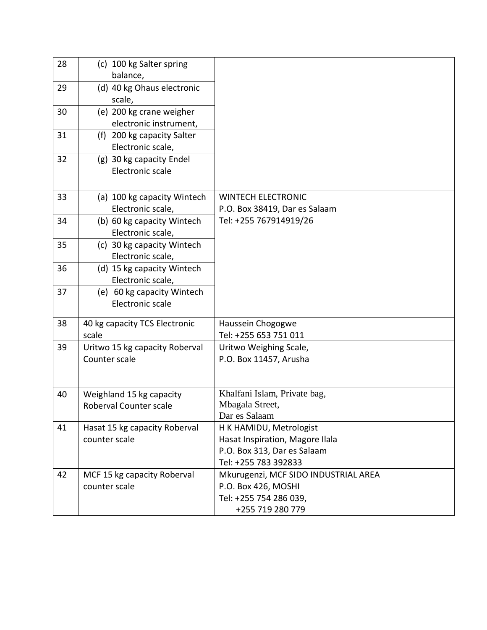| 28 | (c) 100 kg Salter spring       |                                      |
|----|--------------------------------|--------------------------------------|
|    | balance,                       |                                      |
| 29 | (d) 40 kg Ohaus electronic     |                                      |
|    | scale,                         |                                      |
| 30 | (e) 200 kg crane weigher       |                                      |
|    | electronic instrument,         |                                      |
| 31 | (f) 200 kg capacity Salter     |                                      |
|    | Electronic scale,              |                                      |
| 32 | (g) 30 kg capacity Endel       |                                      |
|    | Electronic scale               |                                      |
|    |                                |                                      |
| 33 | (a) 100 kg capacity Wintech    | <b>WINTECH ELECTRONIC</b>            |
|    | Electronic scale,              | P.O. Box 38419, Dar es Salaam        |
| 34 | (b) 60 kg capacity Wintech     | Tel: +255 767914919/26               |
|    | Electronic scale,              |                                      |
| 35 | (c) 30 kg capacity Wintech     |                                      |
|    | Electronic scale,              |                                      |
| 36 | (d) 15 kg capacity Wintech     |                                      |
|    | Electronic scale,              |                                      |
| 37 | (e) 60 kg capacity Wintech     |                                      |
|    | Electronic scale               |                                      |
| 38 | 40 kg capacity TCS Electronic  | Haussein Chogogwe                    |
|    | scale                          | Tel: +255 653 751 011                |
| 39 | Uritwo 15 kg capacity Roberval | Uritwo Weighing Scale,               |
|    | Counter scale                  | P.O. Box 11457, Arusha               |
|    |                                |                                      |
|    |                                |                                      |
| 40 | Weighland 15 kg capacity       | Khalfani Islam, Private bag,         |
|    | Roberval Counter scale         | Mbagala Street,                      |
|    |                                | Dar es Salaam                        |
| 41 | Hasat 15 kg capacity Roberval  | H K HAMIDU, Metrologist              |
|    | counter scale                  | Hasat Inspiration, Magore Ilala      |
|    |                                | P.O. Box 313, Dar es Salaam          |
|    |                                | Tel: +255 783 392833                 |
| 42 | MCF 15 kg capacity Roberval    | Mkurugenzi, MCF SIDO INDUSTRIAL AREA |
|    | counter scale                  | P.O. Box 426, MOSHI                  |
|    |                                | Tel: +255 754 286 039,               |
|    |                                | +255 719 280 779                     |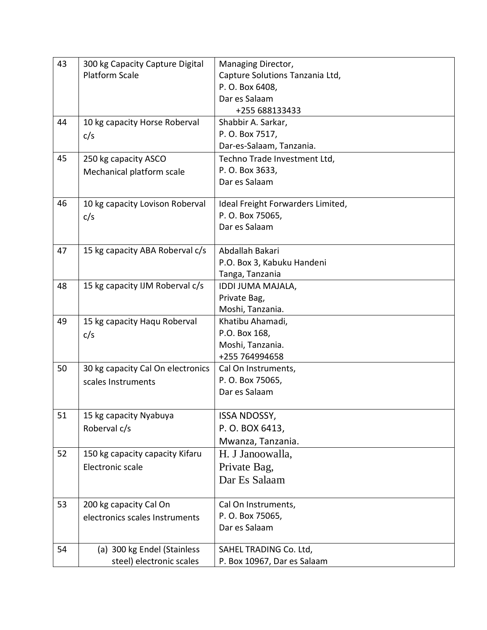| 43 | 300 kg Capacity Capture Digital   | Managing Director,                |
|----|-----------------------------------|-----------------------------------|
|    | Platform Scale                    | Capture Solutions Tanzania Ltd,   |
|    |                                   | P. O. Box 6408,                   |
|    |                                   | Dar es Salaam                     |
|    |                                   | +255 688133433                    |
| 44 | 10 kg capacity Horse Roberval     | Shabbir A. Sarkar,                |
|    | c/s                               | P. O. Box 7517,                   |
|    |                                   | Dar-es-Salaam, Tanzania.          |
| 45 | 250 kg capacity ASCO              | Techno Trade Investment Ltd,      |
|    | Mechanical platform scale         | P. O. Box 3633,                   |
|    |                                   | Dar es Salaam                     |
| 46 | 10 kg capacity Lovison Roberval   | Ideal Freight Forwarders Limited, |
|    | c/s                               | P. O. Box 75065,                  |
|    |                                   | Dar es Salaam                     |
| 47 | 15 kg capacity ABA Roberval c/s   | Abdallah Bakari                   |
|    |                                   | P.O. Box 3, Kabuku Handeni        |
|    |                                   | Tanga, Tanzania                   |
| 48 | 15 kg capacity IJM Roberval c/s   | IDDI JUMA MAJALA,                 |
|    |                                   | Private Bag,                      |
|    |                                   | Moshi, Tanzania.                  |
| 49 | 15 kg capacity Haqu Roberval      | Khatibu Ahamadi,                  |
|    | c/s                               | P.O. Box 168,                     |
|    |                                   | Moshi, Tanzania.                  |
|    |                                   | +255 764994658                    |
| 50 | 30 kg capacity Cal On electronics | Cal On Instruments,               |
|    | scales Instruments                | P. O. Box 75065,                  |
|    |                                   | Dar es Salaam                     |
| 51 | 15 kg capacity Nyabuya            | <b>ISSA NDOSSY,</b>               |
|    | Roberval c/s                      | P.O. BOX 6413,                    |
|    |                                   | Mwanza, Tanzania.                 |
| 52 | 150 kg capacity capacity Kifaru   | H. J Janoowalla,                  |
|    | Electronic scale                  | Private Bag,                      |
|    |                                   | Dar Es Salaam                     |
| 53 | 200 kg capacity Cal On            | Cal On Instruments,               |
|    | electronics scales Instruments    | P.O. Box 75065,                   |
|    |                                   | Dar es Salaam                     |
|    |                                   |                                   |
| 54 | (a) 300 kg Endel (Stainless       | SAHEL TRADING Co. Ltd,            |
|    | steel) electronic scales          | P. Box 10967, Dar es Salaam       |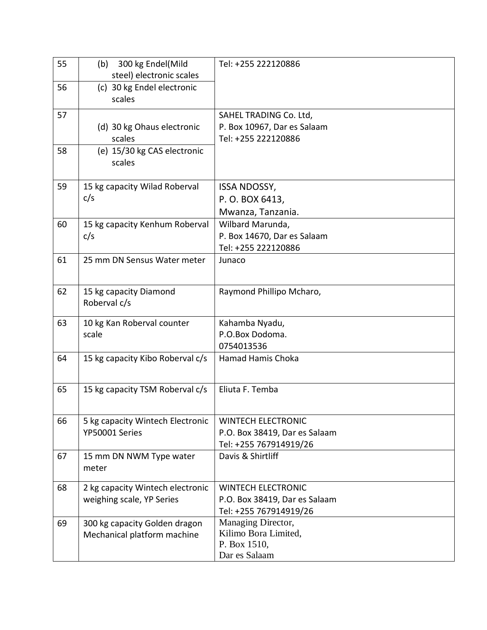| 55 | 300 kg Endel(Mild<br>(b)            | Tel: +255 222120886               |
|----|-------------------------------------|-----------------------------------|
|    | steel) electronic scales            |                                   |
| 56 | (c) 30 kg Endel electronic          |                                   |
|    | scales                              |                                   |
| 57 |                                     | SAHEL TRADING Co. Ltd,            |
|    | (d) 30 kg Ohaus electronic          | P. Box 10967, Dar es Salaam       |
|    | scales                              | Tel: +255 222120886               |
| 58 | (e) 15/30 kg CAS electronic         |                                   |
|    | scales                              |                                   |
|    |                                     |                                   |
| 59 | 15 kg capacity Wilad Roberval       | <b>ISSA NDOSSY,</b>               |
|    | c/s                                 | P.O. BOX 6413,                    |
|    |                                     | Mwanza, Tanzania.                 |
| 60 | 15 kg capacity Kenhum Roberval      | Wilbard Marunda,                  |
|    | c/s                                 | P. Box 14670, Dar es Salaam       |
|    |                                     | Tel: +255 222120886               |
| 61 | 25 mm DN Sensus Water meter         | Junaco                            |
|    |                                     |                                   |
| 62 | 15 kg capacity Diamond              | Raymond Phillipo Mcharo,          |
|    | Roberval c/s                        |                                   |
| 63 |                                     |                                   |
|    | 10 kg Kan Roberval counter<br>scale | Kahamba Nyadu,<br>P.O.Box Dodoma. |
|    |                                     | 0754013536                        |
| 64 | 15 kg capacity Kibo Roberval c/s    | Hamad Hamis Choka                 |
|    |                                     |                                   |
|    |                                     |                                   |
| 65 | 15 kg capacity TSM Roberval c/s     | Eliuta F. Temba                   |
|    |                                     |                                   |
| 66 | 5 kg capacity Wintech Electronic    | <b>WINTECH ELECTRONIC</b>         |
|    | YP50001 Series                      | P.O. Box 38419, Dar es Salaam     |
|    |                                     | Tel: +255 767914919/26            |
| 67 | 15 mm DN NWM Type water             | Davis & Shirtliff                 |
|    | meter                               |                                   |
| 68 | 2 kg capacity Wintech electronic    | <b>WINTECH ELECTRONIC</b>         |
|    | weighing scale, YP Series           | P.O. Box 38419, Dar es Salaam     |
|    |                                     | Tel: +255 767914919/26            |
| 69 | 300 kg capacity Golden dragon       | Managing Director,                |
|    | Mechanical platform machine         | Kilimo Bora Limited,              |
|    |                                     | P. Box 1510,                      |
|    |                                     | Dar es Salaam                     |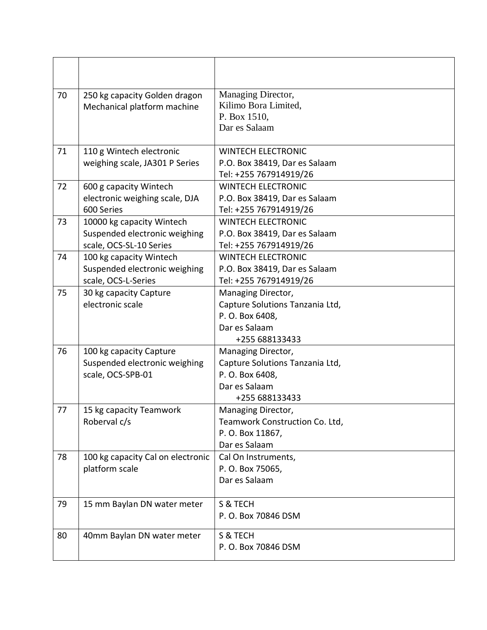| 70 | 250 kg capacity Golden dragon<br>Mechanical platform machine                          | Managing Director,<br>Kilimo Bora Limited,<br>P. Box 1510,<br>Dar es Salaam                                 |
|----|---------------------------------------------------------------------------------------|-------------------------------------------------------------------------------------------------------------|
| 71 | 110 g Wintech electronic<br>weighing scale, JA301 P Series                            | <b>WINTECH ELECTRONIC</b><br>P.O. Box 38419, Dar es Salaam<br>Tel: +255 767914919/26                        |
| 72 | 600 g capacity Wintech<br>electronic weighing scale, DJA<br>600 Series                | <b>WINTECH ELECTRONIC</b><br>P.O. Box 38419, Dar es Salaam<br>Tel: +255 767914919/26                        |
| 73 | 10000 kg capacity Wintech<br>Suspended electronic weighing<br>scale, OCS-SL-10 Series | <b>WINTECH ELECTRONIC</b><br>P.O. Box 38419, Dar es Salaam<br>Tel: +255 767914919/26                        |
| 74 | 100 kg capacity Wintech<br>Suspended electronic weighing<br>scale, OCS-L-Series       | <b>WINTECH ELECTRONIC</b><br>P.O. Box 38419, Dar es Salaam<br>Tel: +255 767914919/26                        |
| 75 | 30 kg capacity Capture<br>electronic scale                                            | Managing Director,<br>Capture Solutions Tanzania Ltd,<br>P. O. Box 6408,<br>Dar es Salaam<br>+255 688133433 |
| 76 | 100 kg capacity Capture<br>Suspended electronic weighing<br>scale, OCS-SPB-01         | Managing Director,<br>Capture Solutions Tanzania Ltd,<br>P. O. Box 6408,<br>Dar es Salaam<br>+255 688133433 |
| 77 | 15 kg capacity Teamwork<br>Roberval c/s                                               | Managing Director,<br>Teamwork Construction Co. Ltd,<br>P.O. Box 11867,<br>Dar es Salaam                    |
| 78 | 100 kg capacity Cal on electronic<br>platform scale                                   | Cal On Instruments,<br>P. O. Box 75065,<br>Dar es Salaam                                                    |
| 79 | 15 mm Baylan DN water meter                                                           | S & TECH<br>P. O. Box 70846 DSM                                                                             |
| 80 | 40mm Baylan DN water meter                                                            | S & TECH<br>P. O. Box 70846 DSM                                                                             |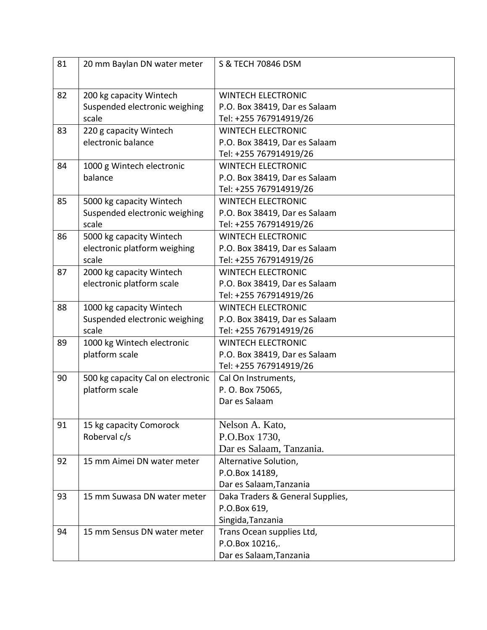| 81 | 20 mm Baylan DN water meter       | S & TECH 70846 DSM               |
|----|-----------------------------------|----------------------------------|
|    |                                   |                                  |
| 82 | 200 kg capacity Wintech           | <b>WINTECH ELECTRONIC</b>        |
|    | Suspended electronic weighing     | P.O. Box 38419, Dar es Salaam    |
|    | scale                             | Tel: +255 767914919/26           |
| 83 | 220 g capacity Wintech            | <b>WINTECH ELECTRONIC</b>        |
|    | electronic balance                | P.O. Box 38419, Dar es Salaam    |
|    |                                   | Tel: +255 767914919/26           |
| 84 | 1000 g Wintech electronic         | <b>WINTECH ELECTRONIC</b>        |
|    | balance                           | P.O. Box 38419, Dar es Salaam    |
|    |                                   | Tel: +255 767914919/26           |
| 85 | 5000 kg capacity Wintech          | <b>WINTECH ELECTRONIC</b>        |
|    | Suspended electronic weighing     | P.O. Box 38419, Dar es Salaam    |
|    | scale                             | Tel: +255 767914919/26           |
| 86 | 5000 kg capacity Wintech          | <b>WINTECH ELECTRONIC</b>        |
|    | electronic platform weighing      | P.O. Box 38419, Dar es Salaam    |
|    | scale                             | Tel: +255 767914919/26           |
| 87 | 2000 kg capacity Wintech          | <b>WINTECH ELECTRONIC</b>        |
|    | electronic platform scale         | P.O. Box 38419, Dar es Salaam    |
|    |                                   | Tel: +255 767914919/26           |
| 88 | 1000 kg capacity Wintech          | <b>WINTECH ELECTRONIC</b>        |
|    | Suspended electronic weighing     | P.O. Box 38419, Dar es Salaam    |
|    | scale                             | Tel: +255 767914919/26           |
| 89 | 1000 kg Wintech electronic        | <b>WINTECH ELECTRONIC</b>        |
|    | platform scale                    | P.O. Box 38419, Dar es Salaam    |
|    |                                   | Tel: +255 767914919/26           |
| 90 | 500 kg capacity Cal on electronic | Cal On Instruments,              |
|    | platform scale                    | P. O. Box 75065,                 |
|    |                                   | Dar es Salaam                    |
|    |                                   |                                  |
| 91 | 15 kg capacity Comorock           | Nelson A. Kato,                  |
|    | Roberval c/s                      | P.O.Box 1730,                    |
|    |                                   | Dar es Salaam, Tanzania.         |
| 92 | 15 mm Aimei DN water meter        | Alternative Solution,            |
|    |                                   | P.O.Box 14189,                   |
|    |                                   | Dar es Salaam, Tanzania          |
| 93 | 15 mm Suwasa DN water meter       | Daka Traders & General Supplies, |
|    |                                   | P.O.Box 619,                     |
|    |                                   | Singida, Tanzania                |
| 94 | 15 mm Sensus DN water meter       | Trans Ocean supplies Ltd,        |
|    |                                   | P.O.Box 10216,.                  |
|    |                                   | Dar es Salaam, Tanzania          |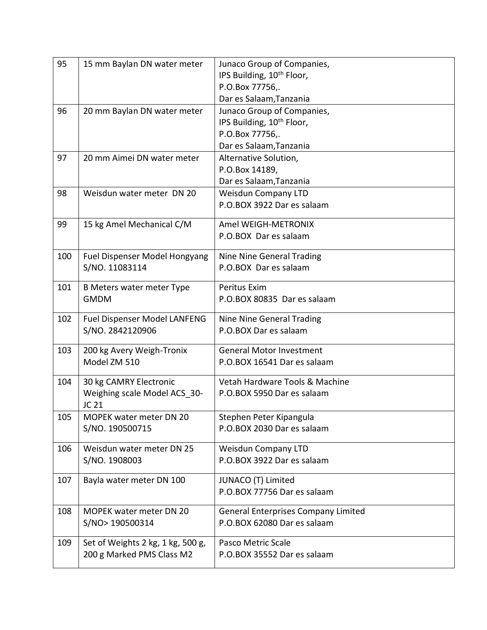| 95  | 15 mm Baylan DN water meter       | Junaco Group of Companies,                 |
|-----|-----------------------------------|--------------------------------------------|
|     |                                   | IPS Building, 10 <sup>th</sup> Floor,      |
|     |                                   | P.O.Box 77756,.                            |
|     |                                   | Dar es Salaam, Tanzania                    |
| 96  | 20 mm Baylan DN water meter       | Junaco Group of Companies,                 |
|     |                                   | IPS Building, 10 <sup>th</sup> Floor,      |
|     |                                   | P.O.Box 77756,.                            |
|     |                                   | Dar es Salaam, Tanzania                    |
| 97  | 20 mm Aimei DN water meter        | Alternative Solution,                      |
|     |                                   | P.O.Box 14189,                             |
|     |                                   | Dar es Salaam, Tanzania                    |
| 98  | Weisdun water meter DN 20         | <b>Weisdun Company LTD</b>                 |
|     |                                   | P.O.BOX 3922 Dar es salaam                 |
|     |                                   |                                            |
| 99  | 15 kg Amel Mechanical C/M         | Amel WEIGH-METRONIX                        |
|     |                                   | P.O.BOX Dar es salaam                      |
| 100 | Fuel Dispenser Model Hongyang     | Nine Nine General Trading                  |
|     | S/NO. 11083114                    | P.O.BOX Dar es salaam                      |
|     |                                   |                                            |
| 101 | B Meters water meter Type         | Peritus Exim                               |
|     | <b>GMDM</b>                       | P.O.BOX 80835 Dar es salaam                |
| 102 | Fuel Dispenser Model LANFENG      | Nine Nine General Trading                  |
|     | S/NO. 2842120906                  | P.O.BOX Dar es salaam                      |
|     |                                   |                                            |
| 103 | 200 kg Avery Weigh-Tronix         | <b>General Motor Investment</b>            |
|     | Model ZM 510                      | P.O.BOX 16541 Dar es salaam                |
| 104 | 30 kg CAMRY Electronic            | Vetah Hardware Tools & Machine             |
|     | Weighing scale Model ACS_30-      | P.O.BOX 5950 Dar es salaam                 |
|     | JC 21                             |                                            |
| 105 | MOPEK water meter DN 20           | Stephen Peter Kipangula                    |
|     | S/NO. 190500715                   | P.O.BOX 2030 Dar es salaam                 |
|     |                                   |                                            |
| 106 | Weisdun water meter DN 25         | <b>Weisdun Company LTD</b>                 |
|     | S/NO. 1908003                     | P.O.BOX 3922 Dar es salaam                 |
| 107 | Bayla water meter DN 100          | JUNACO (T) Limited                         |
|     |                                   | P.O.BOX 77756 Dar es salaam                |
|     |                                   |                                            |
| 108 | <b>MOPEK water meter DN 20</b>    | <b>General Enterprises Company Limited</b> |
|     | S/NO> 190500314                   | P.O.BOX 62080 Dar es salaam                |
|     |                                   |                                            |
| 109 | Set of Weights 2 kg, 1 kg, 500 g, | Pasco Metric Scale                         |
|     | 200 g Marked PMS Class M2         | P.O.BOX 35552 Dar es salaam                |
|     |                                   |                                            |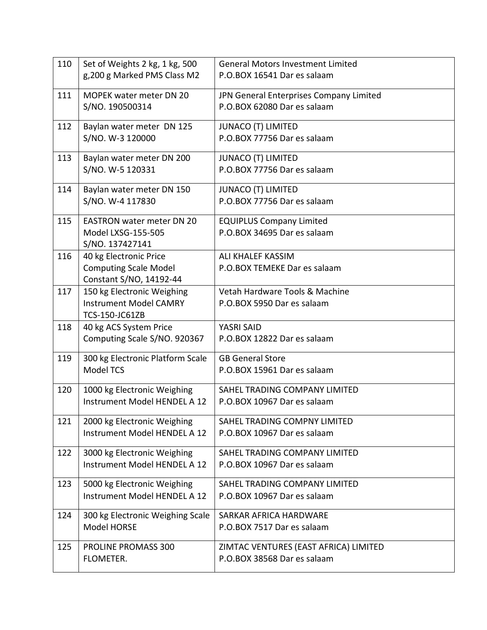| 110 | Set of Weights 2 kg, 1 kg, 500                          | <b>General Motors Investment Limited</b> |
|-----|---------------------------------------------------------|------------------------------------------|
|     | g, 200 g Marked PMS Class M2                            | P.O.BOX 16541 Dar es salaam              |
| 111 | <b>MOPEK water meter DN 20</b>                          | JPN General Enterprises Company Limited  |
|     | S/NO. 190500314                                         | P.O.BOX 62080 Dar es salaam              |
|     |                                                         |                                          |
| 112 | Baylan water meter DN 125                               | <b>JUNACO (T) LIMITED</b>                |
|     | S/NO. W-3 120000                                        | P.O.BOX 77756 Dar es salaam              |
| 113 | Baylan water meter DN 200                               | <b>JUNACO (T) LIMITED</b>                |
|     | S/NO. W-5 120331                                        | P.O.BOX 77756 Dar es salaam              |
| 114 | Baylan water meter DN 150                               | <b>JUNACO (T) LIMITED</b>                |
|     | S/NO. W-4 117830                                        | P.O.BOX 77756 Dar es salaam              |
| 115 | <b>EASTRON water meter DN 20</b>                        | <b>EQUIPLUS Company Limited</b>          |
|     | Model LXSG-155-505                                      | P.O.BOX 34695 Dar es salaam              |
|     | S/NO. 137427141                                         |                                          |
| 116 | 40 kg Electronic Price                                  | ALI KHALEF KASSIM                        |
|     | <b>Computing Scale Model</b><br>Constant S/NO, 14192-44 | P.O.BOX TEMEKE Dar es salaam             |
| 117 | 150 kg Electronic Weighing                              | Vetah Hardware Tools & Machine           |
|     | <b>Instrument Model CAMRY</b>                           | P.O.BOX 5950 Dar es salaam               |
|     | <b>TCS-150-JC61ZB</b>                                   |                                          |
| 118 | 40 kg ACS System Price                                  | YASRI SAID                               |
|     | Computing Scale S/NO. 920367                            | P.O.BOX 12822 Dar es salaam              |
| 119 | 300 kg Electronic Platform Scale                        | <b>GB General Store</b>                  |
|     | <b>Model TCS</b>                                        | P.O.BOX 15961 Dar es salaam              |
| 120 | 1000 kg Electronic Weighing                             | SAHEL TRADING COMPANY LIMITED            |
|     | Instrument Model HENDEL A 12                            | P.O.BOX 10967 Dar es salaam              |
| 121 | 2000 kg Electronic Weighing                             | SAHEL TRADING COMPNY LIMITED             |
|     | Instrument Model HENDEL A 12                            | P.O.BOX 10967 Dar es salaam              |
| 122 | 3000 kg Electronic Weighing                             | SAHEL TRADING COMPANY LIMITED            |
|     | Instrument Model HENDEL A 12                            | P.O.BOX 10967 Dar es salaam              |
| 123 | 5000 kg Electronic Weighing                             | SAHEL TRADING COMPANY LIMITED            |
|     | Instrument Model HENDEL A 12                            | P.O.BOX 10967 Dar es salaam              |
| 124 | 300 kg Electronic Weighing Scale                        | SARKAR AFRICA HARDWARE                   |
|     | Model HORSE                                             | P.O.BOX 7517 Dar es salaam               |
| 125 | PROLINE PROMASS 300                                     | ZIMTAC VENTURES (EAST AFRICA) LIMITED    |
|     | FLOMETER.                                               | P.O.BOX 38568 Dar es salaam              |
|     |                                                         |                                          |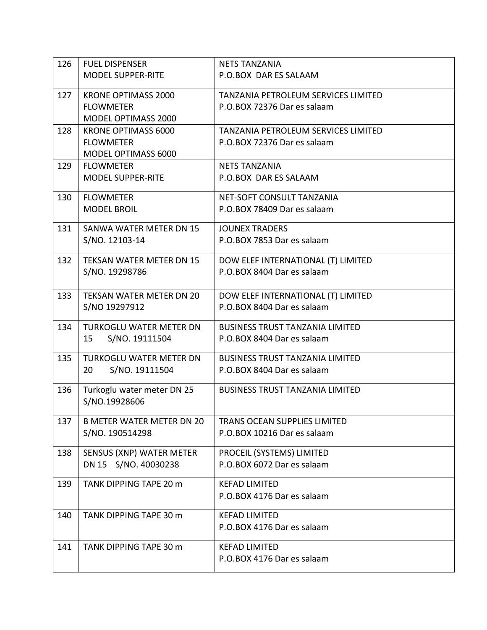| 126 | <b>FUEL DISPENSER</b>            | <b>NETS TANZANIA</b>                   |
|-----|----------------------------------|----------------------------------------|
|     | <b>MODEL SUPPER-RITE</b>         | P.O.BOX DAR ES SALAAM                  |
|     |                                  |                                        |
| 127 | KRONE OPTIMASS 2000              | TANZANIA PETROLEUM SERVICES LIMITED    |
|     | <b>FLOWMETER</b>                 | P.O.BOX 72376 Dar es salaam            |
|     | MODEL OPTIMASS 2000              |                                        |
| 128 | KRONE OPTIMASS 6000              | TANZANIA PETROLEUM SERVICES LIMITED    |
|     | <b>FLOWMETER</b>                 | P.O.BOX 72376 Dar es salaam            |
|     | MODEL OPTIMASS 6000              |                                        |
| 129 | <b>FLOWMETER</b>                 | <b>NETS TANZANIA</b>                   |
|     | <b>MODEL SUPPER-RITE</b>         | P.O.BOX DAR ES SALAAM                  |
|     | <b>FLOWMETER</b>                 | NET-SOFT CONSULT TANZANIA              |
| 130 | <b>MODEL BROIL</b>               | P.O.BOX 78409 Dar es salaam            |
|     |                                  |                                        |
| 131 | SANWA WATER METER DN 15          | <b>JOUNEX TRADERS</b>                  |
|     | S/NO. 12103-14                   | P.O.BOX 7853 Dar es salaam             |
|     |                                  |                                        |
| 132 | TEKSAN WATER METER DN 15         | DOW ELEF INTERNATIONAL (T) LIMITED     |
|     | S/NO. 19298786                   | P.O.BOX 8404 Dar es salaam             |
|     |                                  |                                        |
| 133 | TEKSAN WATER METER DN 20         | DOW ELEF INTERNATIONAL (T) LIMITED     |
|     | S/NO 19297912                    | P.O.BOX 8404 Dar es salaam             |
| 134 | <b>TURKOGLU WATER METER DN</b>   | <b>BUSINESS TRUST TANZANIA LIMITED</b> |
|     | S/NO. 19111504<br>15             | P.O.BOX 8404 Dar es salaam             |
|     |                                  |                                        |
| 135 | <b>TURKOGLU WATER METER DN</b>   | <b>BUSINESS TRUST TANZANIA LIMITED</b> |
|     | S/NO. 19111504<br>20             | P.O.BOX 8404 Dar es salaam             |
|     |                                  |                                        |
| 136 | Turkoglu water meter DN 25       | <b>BUSINESS TRUST TANZANIA LIMITED</b> |
|     | S/NO.19928606                    |                                        |
| 137 | <b>B METER WATER METER DN 20</b> | TRANS OCEAN SUPPLIES LIMITED           |
|     | S/NO. 190514298                  | P.O.BOX 10216 Dar es salaam            |
|     |                                  |                                        |
| 138 | SENSUS (XNP) WATER METER         | PROCEIL (SYSTEMS) LIMITED              |
|     | DN 15 S/NO. 40030238             | P.O.BOX 6072 Dar es salaam             |
| 139 | TANK DIPPING TAPE 20 m           | <b>KEFAD LIMITED</b>                   |
|     |                                  | P.O.BOX 4176 Dar es salaam             |
|     |                                  |                                        |
| 140 | TANK DIPPING TAPE 30 m           | <b>KEFAD LIMITED</b>                   |
|     |                                  | P.O.BOX 4176 Dar es salaam             |
|     |                                  |                                        |
| 141 | TANK DIPPING TAPE 30 m           | <b>KEFAD LIMITED</b>                   |
|     |                                  | P.O.BOX 4176 Dar es salaam             |
|     |                                  |                                        |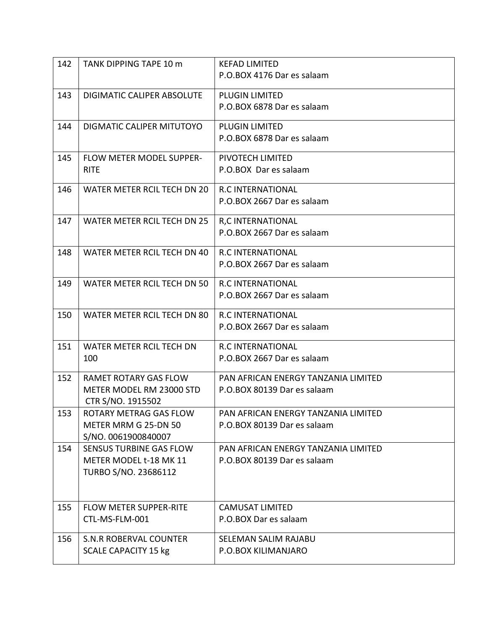| P.O.BOX 4176 Dar es salaam<br>143<br>DIGIMATIC CALIPER ABSOLUTE<br><b>PLUGIN LIMITED</b><br>P.O.BOX 6878 Dar es salaam<br>DIGMATIC CALIPER MITUTOYO<br>144<br><b>PLUGIN LIMITED</b> |                            |  |
|-------------------------------------------------------------------------------------------------------------------------------------------------------------------------------------|----------------------------|--|
|                                                                                                                                                                                     |                            |  |
|                                                                                                                                                                                     |                            |  |
|                                                                                                                                                                                     |                            |  |
|                                                                                                                                                                                     |                            |  |
|                                                                                                                                                                                     | P.O.BOX 6878 Dar es salaam |  |
| 145<br>FLOW METER MODEL SUPPER-<br>PIVOTECH LIMITED                                                                                                                                 |                            |  |
| <b>RITE</b><br>P.O.BOX Dar es salaam                                                                                                                                                |                            |  |
| WATER METER RCIL TECH DN 20<br><b>R.C INTERNATIONAL</b><br>146                                                                                                                      |                            |  |
| P.O.BOX 2667 Dar es salaam                                                                                                                                                          |                            |  |
| <b>WATER METER RCIL TECH DN 25</b><br>147<br><b>R,C INTERNATIONAL</b>                                                                                                               |                            |  |
| P.O.BOX 2667 Dar es salaam                                                                                                                                                          |                            |  |
| 148<br>WATER METER RCIL TECH DN 40<br><b>R.C INTERNATIONAL</b>                                                                                                                      |                            |  |
| P.O.BOX 2667 Dar es salaam                                                                                                                                                          |                            |  |
| 149<br>WATER METER RCIL TECH DN 50<br><b>R.C INTERNATIONAL</b>                                                                                                                      |                            |  |
| P.O.BOX 2667 Dar es salaam                                                                                                                                                          |                            |  |
| 150<br>WATER METER RCIL TECH DN 80<br><b>R.C INTERNATIONAL</b>                                                                                                                      |                            |  |
| P.O.BOX 2667 Dar es salaam                                                                                                                                                          |                            |  |
| 151<br>WATER METER RCIL TECH DN<br><b>R.C INTERNATIONAL</b>                                                                                                                         |                            |  |
| 100<br>P.O.BOX 2667 Dar es salaam                                                                                                                                                   |                            |  |
| 152<br><b>RAMET ROTARY GAS FLOW</b><br>PAN AFRICAN ENERGY TANZANIA LIMITED                                                                                                          |                            |  |
| METER MODEL RM 23000 STD<br>P.O.BOX 80139 Dar es salaam                                                                                                                             |                            |  |
| CTR S/NO. 1915502                                                                                                                                                                   |                            |  |
| 153<br>ROTARY METRAG GAS FLOW<br>PAN AFRICAN ENERGY TANZANIA LIMITED<br>METER MRM G 25-DN 50<br>P.O.BOX 80139 Dar es salaam                                                         |                            |  |
| S/NO. 0061900840007                                                                                                                                                                 |                            |  |
| 154<br><b>SENSUS TURBINE GAS FLOW</b><br>PAN AFRICAN ENERGY TANZANIA LIMITED                                                                                                        |                            |  |
| METER MODEL t-18 MK 11<br>P.O.BOX 80139 Dar es salaam                                                                                                                               |                            |  |
| TURBO S/NO. 23686112                                                                                                                                                                |                            |  |
|                                                                                                                                                                                     |                            |  |
| <b>FLOW METER SUPPER-RITE</b><br><b>CAMUSAT LIMITED</b><br>155                                                                                                                      |                            |  |
| CTL-MS-FLM-001<br>P.O.BOX Dar es salaam                                                                                                                                             |                            |  |
| 156<br><b>S.N.R ROBERVAL COUNTER</b><br>SELEMAN SALIM RAJABU                                                                                                                        |                            |  |
| P.O.BOX KILIMANJARO<br><b>SCALE CAPACITY 15 kg</b>                                                                                                                                  |                            |  |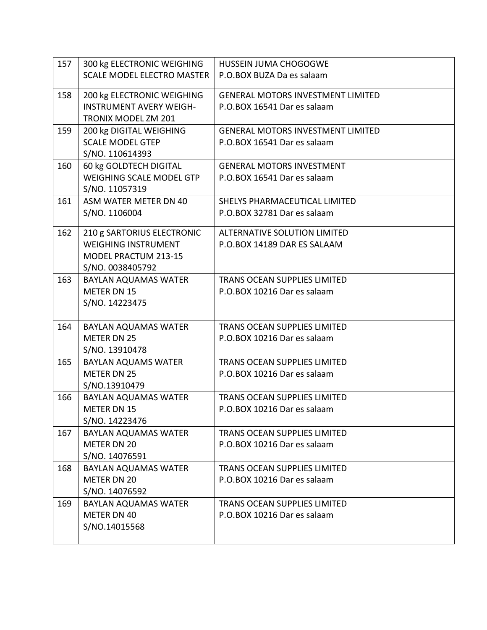| 157 | 300 kg ELECTRONIC WEIGHING        | HUSSEIN JUMA CHOGOGWE                    |
|-----|-----------------------------------|------------------------------------------|
|     | <b>SCALE MODEL ELECTRO MASTER</b> | P.O.BOX BUZA Da es salaam                |
|     |                                   |                                          |
| 158 | 200 kg ELECTRONIC WEIGHING        | <b>GENERAL MOTORS INVESTMENT LIMITED</b> |
|     | <b>INSTRUMENT AVERY WEIGH-</b>    | P.O.BOX 16541 Dar es salaam              |
|     | <b>TRONIX MODEL ZM 201</b>        |                                          |
| 159 | 200 kg DIGITAL WEIGHING           | <b>GENERAL MOTORS INVESTMENT LIMITED</b> |
|     | <b>SCALE MODEL GTEP</b>           | P.O.BOX 16541 Dar es salaam              |
|     | S/NO. 110614393                   |                                          |
| 160 | 60 kg GOLDTECH DIGITAL            | <b>GENERAL MOTORS INVESTMENT</b>         |
|     | <b>WEIGHING SCALE MODEL GTP</b>   | P.O.BOX 16541 Dar es salaam              |
|     | S/NO. 11057319                    |                                          |
| 161 | ASM WATER METER DN 40             | SHELYS PHARMACEUTICAL LIMITED            |
|     | S/NO. 1106004                     | P.O.BOX 32781 Dar es salaam              |
| 162 | 210 g SARTORIUS ELECTRONIC        | <b>ALTERNATIVE SOLUTION LIMITED</b>      |
|     | <b>WEIGHING INSTRUMENT</b>        | P.O.BOX 14189 DAR ES SALAAM              |
|     | MODEL PRACTUM 213-15              |                                          |
|     | S/NO. 0038405792                  |                                          |
| 163 | <b>BAYLAN AQUAMAS WATER</b>       | TRANS OCEAN SUPPLIES LIMITED             |
|     | <b>METER DN 15</b>                | P.O.BOX 10216 Dar es salaam              |
|     | S/NO. 14223475                    |                                          |
|     |                                   |                                          |
| 164 | <b>BAYLAN AQUAMAS WATER</b>       | TRANS OCEAN SUPPLIES LIMITED             |
|     | <b>METER DN 25</b>                | P.O.BOX 10216 Dar es salaam              |
|     | S/NO. 13910478                    |                                          |
| 165 | <b>BAYLAN AQUAMS WATER</b>        | <b>TRANS OCEAN SUPPLIES LIMITED</b>      |
|     | <b>METER DN 25</b>                | P.O.BOX 10216 Dar es salaam              |
|     | S/NO.13910479                     |                                          |
| 166 | <b>BAYLAN AQUAMAS WATER</b>       | <b>TRANS OCEAN SUPPLIES LIMITED</b>      |
|     | METER DN 15                       | P.O.BOX 10216 Dar es salaam              |
|     | S/NO. 14223476                    |                                          |
| 167 | <b>BAYLAN AQUAMAS WATER</b>       | <b>TRANS OCEAN SUPPLIES LIMITED</b>      |
|     | <b>METER DN 20</b>                | P.O.BOX 10216 Dar es salaam              |
|     | S/NO. 14076591                    |                                          |
| 168 | <b>BAYLAN AQUAMAS WATER</b>       | <b>TRANS OCEAN SUPPLIES LIMITED</b>      |
|     | <b>METER DN 20</b>                | P.O.BOX 10216 Dar es salaam              |
|     | S/NO. 14076592                    |                                          |
| 169 | <b>BAYLAN AQUAMAS WATER</b>       | <b>TRANS OCEAN SUPPLIES LIMITED</b>      |
|     | METER DN 40                       | P.O.BOX 10216 Dar es salaam              |
|     | S/NO.14015568                     |                                          |
|     |                                   |                                          |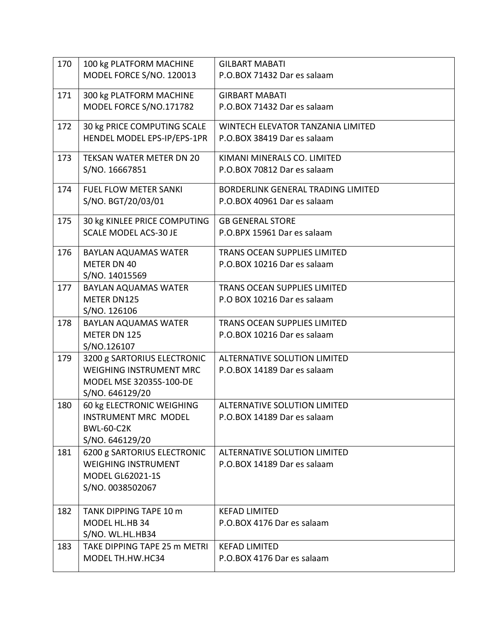| 170 | 100 kg PLATFORM MACHINE                            | <b>GILBART MABATI</b>                                |
|-----|----------------------------------------------------|------------------------------------------------------|
|     | MODEL FORCE S/NO. 120013                           | P.O.BOX 71432 Dar es salaam                          |
|     |                                                    |                                                      |
| 171 | 300 kg PLATFORM MACHINE<br>MODEL FORCE S/NO.171782 | <b>GIRBART MABATI</b><br>P.O.BOX 71432 Dar es salaam |
|     |                                                    |                                                      |
| 172 | 30 kg PRICE COMPUTING SCALE                        | WINTECH ELEVATOR TANZANIA LIMITED                    |
|     | HENDEL MODEL EPS-IP/EPS-1PR                        | P.O.BOX 38419 Dar es salaam                          |
| 173 | TEKSAN WATER METER DN 20                           | KIMANI MINERALS CO. LIMITED                          |
|     | S/NO. 16667851                                     | P.O.BOX 70812 Dar es salaam                          |
| 174 | <b>FUEL FLOW METER SANKI</b>                       | BORDERLINK GENERAL TRADING LIMITED                   |
|     | S/NO. BGT/20/03/01                                 | P.O.BOX 40961 Dar es salaam                          |
|     |                                                    |                                                      |
| 175 | 30 kg KINLEE PRICE COMPUTING                       | <b>GB GENERAL STORE</b>                              |
|     | <b>SCALE MODEL ACS-30 JE</b>                       | P.O.BPX 15961 Dar es salaam                          |
| 176 | <b>BAYLAN AQUAMAS WATER</b>                        | <b>TRANS OCEAN SUPPLIES LIMITED</b>                  |
|     | <b>METER DN 40</b>                                 | P.O.BOX 10216 Dar es salaam                          |
|     | S/NO. 14015569                                     |                                                      |
| 177 | <b>BAYLAN AQUAMAS WATER</b>                        | TRANS OCEAN SUPPLIES LIMITED                         |
|     | METER DN125                                        | P.O BOX 10216 Dar es salaam                          |
|     | S/NO. 126106                                       |                                                      |
| 178 | <b>BAYLAN AQUAMAS WATER</b>                        | <b>TRANS OCEAN SUPPLIES LIMITED</b>                  |
|     | METER DN 125                                       | P.O.BOX 10216 Dar es salaam                          |
|     | S/NO.126107                                        |                                                      |
| 179 | 3200 g SARTORIUS ELECTRONIC                        | <b>ALTERNATIVE SOLUTION LIMITED</b>                  |
|     | <b>WEIGHING INSTRUMENT MRC</b>                     | P.O.BOX 14189 Dar es salaam                          |
|     | MODEL MSE 32035S-100-DE<br>S/NO. 646129/20         |                                                      |
| 180 | 60 kg ELECTRONIC WEIGHING                          | <b>ALTERNATIVE SOLUTION LIMITED</b>                  |
|     | <b>INSTRUMENT MRC MODEL</b>                        | P.O.BOX 14189 Dar es salaam                          |
|     | <b>BWL-60-C2K</b>                                  |                                                      |
|     | S/NO. 646129/20                                    |                                                      |
| 181 | 6200 g SARTORIUS ELECTRONIC                        | <b>ALTERNATIVE SOLUTION LIMITED</b>                  |
|     | <b>WEIGHING INSTRUMENT</b>                         | P.O.BOX 14189 Dar es salaam                          |
|     | <b>MODEL GL62021-1S</b>                            |                                                      |
|     | S/NO. 0038502067                                   |                                                      |
|     |                                                    |                                                      |
| 182 | TANK DIPPING TAPE 10 m                             | <b>KEFAD LIMITED</b>                                 |
|     | MODEL HL.HB 34                                     | P.O.BOX 4176 Dar es salaam                           |
|     | S/NO. WL.HL.HB34                                   |                                                      |
| 183 | TAKE DIPPING TAPE 25 m METRI                       | <b>KEFAD LIMITED</b>                                 |
|     | MODEL TH.HW.HC34                                   | P.O.BOX 4176 Dar es salaam                           |
|     |                                                    |                                                      |